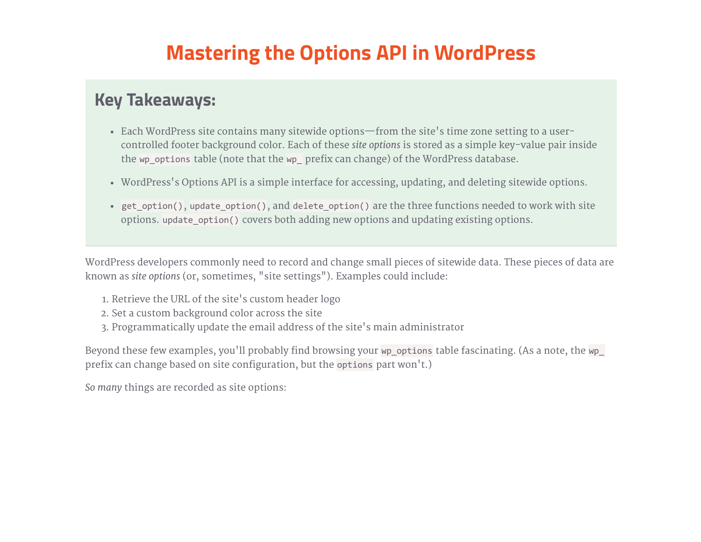# Mastering the Options API in WordPress

### Key Takeaways:

- Each WordPress site contains many sitewide options—from the site's time zone setting to a usercontrolled footer background color. Each of these site options is stored as a simple key-value pair inside the wp\_options table (note that the wp\_ prefix can change) of the WordPress database.
- WordPress's Options API is a simple interface for accessing, updating, and deleting sitewide options.
- get option(), update option(), and delete option() are the three functions needed to work with site options. update\_option() covers both adding new options and updating existing options.

WordPress developers commonly need to record and change small pieces of sitewide data. These pieces of data are known as site options (or, sometimes, "site settings"). Examples could include:

- 1. Retrieve the URL of the site's custom header logo
- 2. Set a custom background color across the site
- 3. Programmatically update the email address of the site's main administrator

Beyond these few examples, you'll probably find browsing your wp\_options table fascinating. (As a note, the wp\_ prefix can change based on site configuration, but the options part won't.)

So many things are recorded as site options: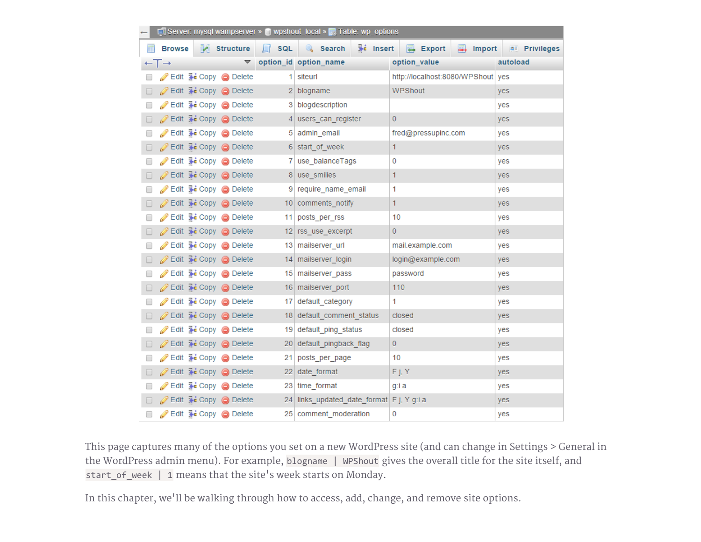| Server: mysql wampserver » ig wpshout_local » and Table: wp_options |                              |  |                                                                 |  |                                              |                                         |                       |
|---------------------------------------------------------------------|------------------------------|--|-----------------------------------------------------------------|--|----------------------------------------------|-----------------------------------------|-----------------------|
|                                                                     | <b>Browse</b>                |  | Structure                                                       |  | <b>Fi</b> Insert<br>$\Box$ SQL $\Box$ Search | <b>B</b> Export<br>$\Rightarrow$ Import | <b>All Privileges</b> |
|                                                                     | $\leftarrow$ T $\rightarrow$ |  |                                                                 |  | $\blacktriangledown$ option_id option_name   | option_value                            | autoload              |
| $\Box$                                                              |                              |  | Edit : Copy O Delete                                            |  | 1 siteurl                                    | http://localhost:8080/WPShout   yes     |                       |
|                                                                     |                              |  | □ <b><i>e</i></b> Edit <b>3-i</b> Copy ● Delete                 |  | 2 blogname                                   | WPShout                                 | yes                   |
| $\Box$                                                              |                              |  | Edit Hi Copy O Delete                                           |  | 3 blogdescription                            |                                         | yes                   |
| 0.                                                                  |                              |  | $\mathscr{D}$ Edit $\ddot{\mathbf{a}}$ Copy $\odot$ Delete      |  | 4 users can register                         | $\mathbf{0}$                            | yes                   |
| □                                                                   |                              |  | Edit <b>3</b> Copy <b>O</b> Delete                              |  | 5 admin email                                | fred@pressupinc.com                     | yes                   |
| 0.                                                                  |                              |  | <b>⊘</b> Edit <b>3-</b> Copy ● Delete                           |  | 6 start_of_week                              | 1.                                      | yes                   |
| □                                                                   |                              |  | Edit <b>3:</b> Copy <b>O</b> Delete                             |  | 7 use_balanceTags                            | 0                                       | yes                   |
| 0.                                                                  |                              |  | <b>⊘Edit 7: Copy ⊙</b> Delete                                   |  | 8 use smilies                                | $\mathbf{1}$                            | yes                   |
| □                                                                   |                              |  | Edit <b>3</b> Copy <b>O</b> Delete                              |  | 9 require_name_email                         | 1                                       | yes                   |
| $\Box$                                                              |                              |  | $\mathscr{O}$ Edit $\ddot{\ddot{\bullet}}$ Copy $\odot$ Delete  |  | 10 comments notify                           | 1.                                      | yes                   |
| $\Box$                                                              |                              |  | Edit 3: Copy @ Delete                                           |  | 11 posts_per_rss                             | 10                                      | yes                   |
| 0.                                                                  |                              |  | $\mathscr{D}$ Edit $\mathbb{R}$ Copy $\bigcirc$ Delete          |  | 12 rss_use_excerpt                           | $\mathbf{0}$                            | yes                   |
| □                                                                   |                              |  | Edit <b>3:</b> Copy <b>O</b> Delete                             |  | 13 mailserver_url                            | mail.example.com                        | yes                   |
| 0.                                                                  |                              |  | <b>⊘Edit 3: Copy ⊙</b> Delete                                   |  | 14 mailserver login                          | login@example.com                       | yes                   |
| $\Box$                                                              |                              |  | Edit 3: Copy @ Delete                                           |  | 15 mailserver pass                           | password                                | yes                   |
|                                                                     |                              |  | □ <b><i>e</i></b> Edit <b>Fi</b> Copy ● Delete                  |  | 16 mailserver_port                           | 110                                     | yes                   |
| $\Box$                                                              |                              |  | Edit : Copy O Delete                                            |  | 17 default category                          | 1.                                      | yes                   |
| 0                                                                   |                              |  | <b>⊘Edit 3: Copy ⊙</b> Delete                                   |  | 18 default comment status                    | closed                                  | yes                   |
| □                                                                   |                              |  | Edit <b>3</b> Copy <b>O</b> Delete                              |  | 19 default_ping_status                       | closed                                  | yes                   |
| 0.                                                                  |                              |  | <b>⊘Edit 3: Copy ⊙</b> Delete                                   |  | 20 default_pingback_flag                     | $\overline{0}$                          | yes                   |
| $\Box$                                                              |                              |  | Edit : Copy O Delete                                            |  | 21 posts_per_page                            | 10                                      | yes                   |
| 0                                                                   |                              |  | $\oslash$ Edit $\ddot{\ddot{\bullet}}$ Copy $\bigcirc$ Delete   |  | 22 date_format                               | F j, Y                                  | yes                   |
| $\Box$                                                              |                              |  | Edit : Copy O Delete                                            |  | 23 time_format                               | g:i a                                   | yes                   |
| 0                                                                   |                              |  | $\mathscr{D}$ Edit $\exists \cdot \cdot$ Copy $\bigcirc$ Delete |  | 24 links_updated_date_format   F j, Y g:i a  |                                         | yes                   |
| $\Box$                                                              |                              |  | Edit : Copy O Delete                                            |  | 25 comment_moderation                        | 0                                       | yes                   |

This page captures many of the options you set on a new WordPress site (and can change in Settings > General in the WordPress admin menu). For example, blogname | WPShout gives the overall title for the site itself, and start\_of\_week | 1 means that the site's week starts on Monday.

In this chapter, we'll be walking through how to access, add, change, and remove site options.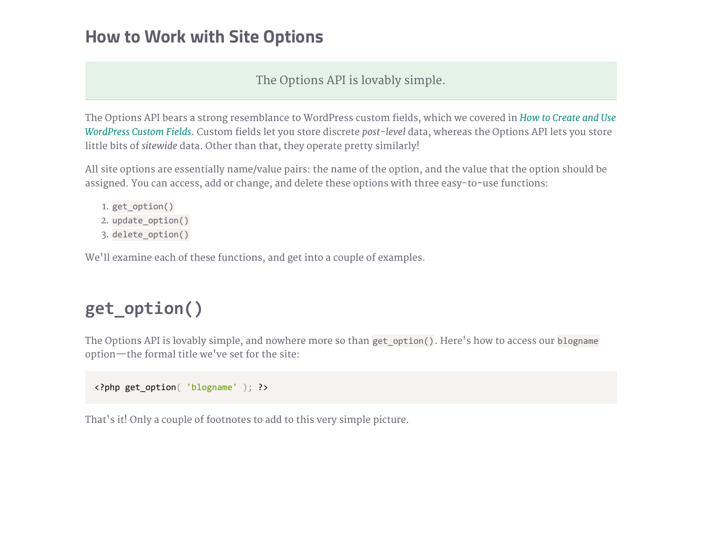### How to Work with Site Options

#### The Options API is lovably simple.

The Options API bears a strong resemblance to WordPress custom fields, which we covered in How to Create and Use WordPress Custom Fields. Custom fields let you store discrete post-level data, whereas the Options API lets you store little bits of sitewide data. Other than that, they operate pretty similarly!

All site options are essentially name/value pairs: the name of the option, and the value that the option should be assigned. You can access, add or change, and delete these options with three easy-to-use functions:

- 1. get\_option()
- 2. update\_option()
- 3. delete\_option()

We'll examine each of these functions, and get into a couple of examples.

# get\_option()

The Options API is lovably simple, and nowhere more so than get\_option(). Here's how to access our blogname option—the formal title we've set for the site:

```
<?php get_option( 'blogname' ); ?>
```
That's it! Only a couple of footnotes to add to this very simple picture.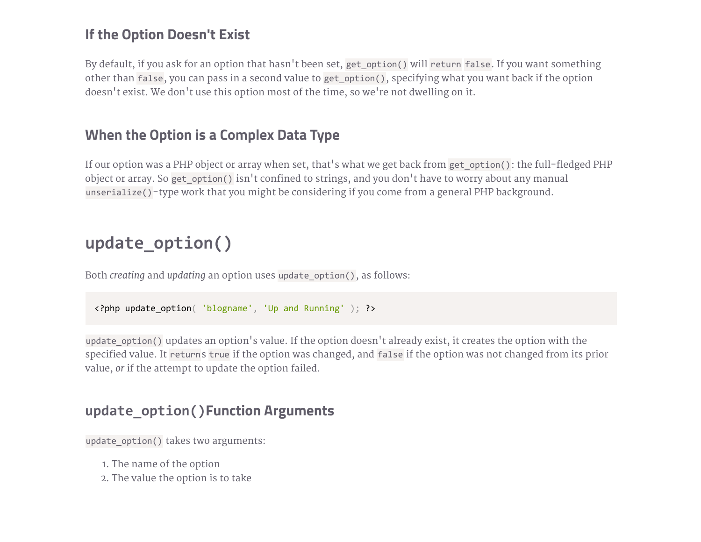### If the Option Doesn't Exist

By default, if you ask for an option that hasn't been set, get\_option() will return false. If you want something other than false, you can pass in a second value to get\_option(), specifying what you want back if the option doesn't exist. We don't use this option most of the time, so we're not dwelling on it.

### When the Option is a Complex Data Type

If our option was a PHP object or array when set, that's what we get back from get\_option(): the full-fledged PHP object or array. So get\_option() isn't confined to strings, and you don't have to worry about any manual unserialize()-type work that you might be considering if you come from a general PHP background.

### update\_option()

Both creating and updating an option uses update\_option(), as follows:

```
<?php update_option( 'blogname', 'Up and Running' ); ?>
```
update\_option() updates an option's value. If the option doesn't already exist, it creates the option with the specified value. It returns true if the option was changed, and false if the option was not changed from its prior value, or if the attempt to update the option failed.

#### update\_option()Function Arguments

update option() takes two arguments:

- 1. The name of the option
- 2. The value the option is to take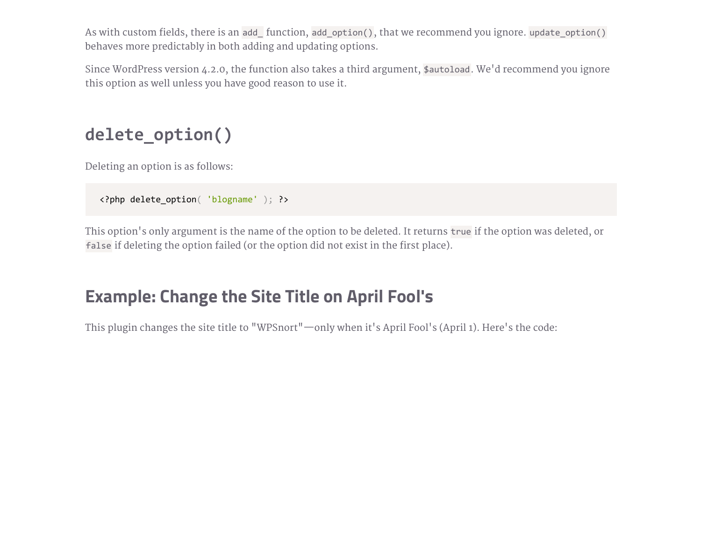As with custom fields, there is an add\_ function, add\_option(), that we recommend you ignore. update\_option() behaves more predictably in both adding and updating options.

Since WordPress version 4.2.0, the function also takes a third argument, \$autoload. We'd recommend you ignore this option as well unless you have good reason to use it.

```
delete_option()
```
Deleting an option is as follows:

```
<?php delete_option( 'blogname' ); ?>
```
This option's only argument is the name of the option to be deleted. It returns true if the option was deleted, or false if deleting the option failed (or the option did not exist in the first place).

### Example: Change the Site Title on April Fool's

This plugin changes the site title to "WPSnort"—only when it's April Fool's (April 1). Here's the code: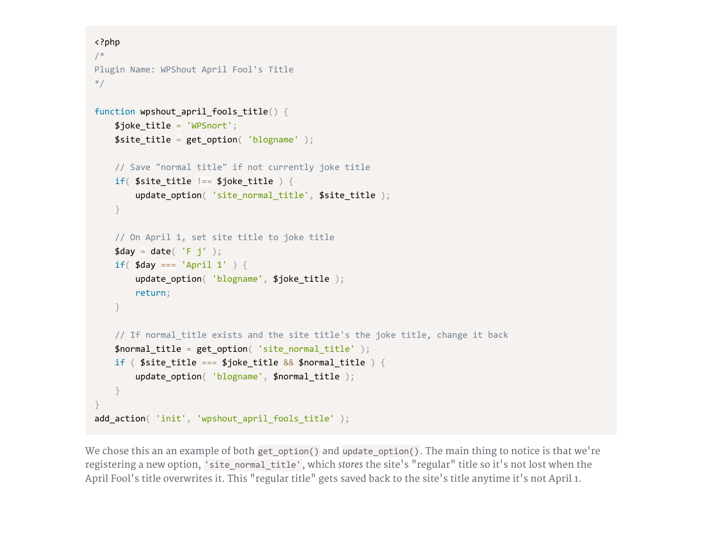```
<?php
/*
Plugin Name: WPShout April Fool's Title
*/
function wpshout_april_fools_title() {
    $joke_title = 'WPSnort';
    $site\_title = get\_option( 'blogname ' );// Save "normal title" if not currently joke title
    if( $site\_title != $joke\_title { }update_option( 'site_normal_title', $site_title );
    }
    // On April 1, set site title to joke title
    \text{fday} = \text{date}('F j');
    if(\text{\#day} == \text{'April} \; 1') {
        update_option( 'blogname', $joke_title );
        return;
    }
   // If normal_title exists and the site title's the joke title, change it back
    $normal_title = get_option( 'site_normal_title' );
    if ( $site\_title == $joke\_title && $normal\_title ) {
        update_option( 'blogname', $normal_title );
    }
}
add action( 'init', 'wpshout april fools title' );
```
We chose this an an example of both get option() and update option(). The main thing to notice is that we're registering a new option, 'site normal title', which stores the site's "regular" title so it's not lost when the April Fool's title overwrites it. This "regular title" gets saved back to the site's title anytime it's not April 1.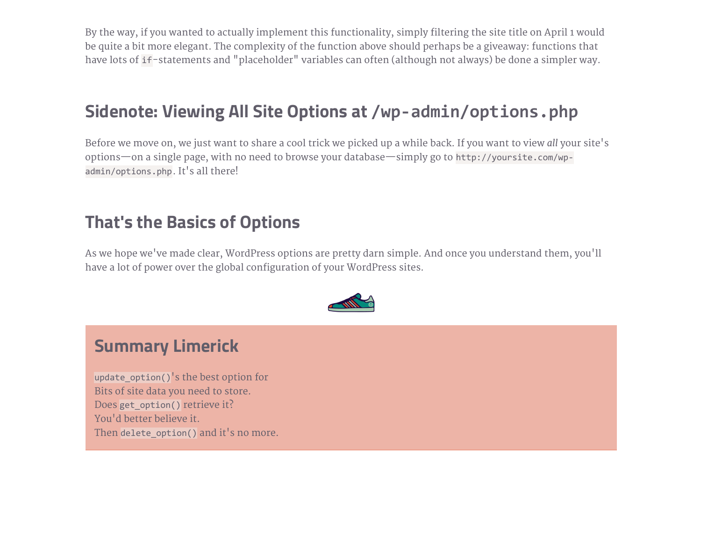By the way, if you wanted to actually implement this functionality, simply filtering the site title on April 1 would be quite a bit more elegant. The complexity of the function above should perhaps be a giveaway: functions that have lots of if-statements and "placeholder" variables can often (although not always) be done a simpler way.

## Sidenote: Viewing All Site Options at /wp‐admin/options.php

Before we move on, we just want to share a cool trick we picked up a while back. If you want to view all your site's options—on a single page, with no need to browse your database—simply go to http://yoursite.com/wp‐ admin/options.php. It's all there!

### That's the Basics of Options

As we hope we've made clear, WordPress options are pretty darn simple. And once you understand them, you'll have a lot of power over the global configuration of your WordPress sites.



### Summary Limerick

update\_option()'s the best option for Bits of site data you need to store. Does get\_option() retrieve it? You'd better believe it. Then delete option() and it's no more.